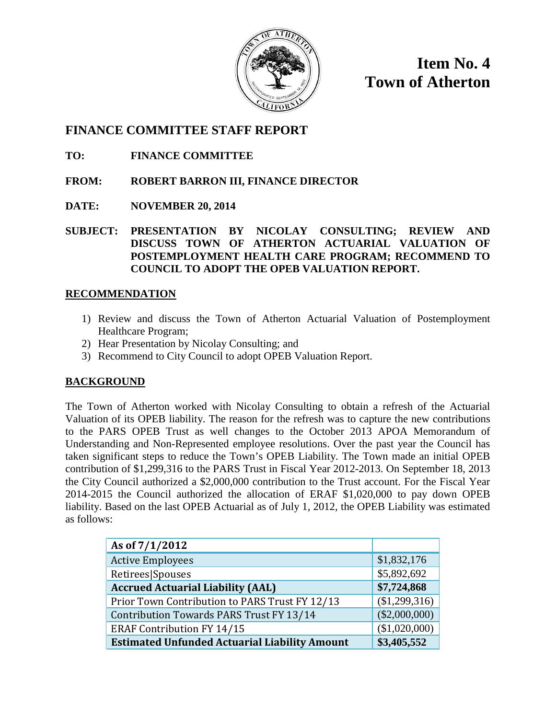

**Item No. 4 Town of Atherton**

### **FINANCE COMMITTEE STAFF REPORT**

**TO: FINANCE COMMITTEE**

- **FROM: ROBERT BARRON III, FINANCE DIRECTOR**
- **DATE: NOVEMBER 20, 2014**
- **SUBJECT: PRESENTATION BY NICOLAY CONSULTING; REVIEW AND DISCUSS TOWN OF ATHERTON ACTUARIAL VALUATION OF POSTEMPLOYMENT HEALTH CARE PROGRAM; RECOMMEND TO COUNCIL TO ADOPT THE OPEB VALUATION REPORT.**

### **RECOMMENDATION**

- 1) Review and discuss the Town of Atherton Actuarial Valuation of Postemployment Healthcare Program;
- 2) Hear Presentation by Nicolay Consulting; and
- 3) Recommend to City Council to adopt OPEB Valuation Report.

### **BACKGROUND**

The Town of Atherton worked with Nicolay Consulting to obtain a refresh of the Actuarial Valuation of its OPEB liability. The reason for the refresh was to capture the new contributions to the PARS OPEB Trust as well changes to the October 2013 APOA Memorandum of Understanding and Non-Represented employee resolutions. Over the past year the Council has taken significant steps to reduce the Town's OPEB Liability. The Town made an initial OPEB contribution of \$1,299,316 to the PARS Trust in Fiscal Year 2012-2013. On September 18, 2013 the City Council authorized a \$2,000,000 contribution to the Trust account. For the Fiscal Year 2014-2015 the Council authorized the allocation of ERAF \$1,020,000 to pay down OPEB liability. Based on the last OPEB Actuarial as of July 1, 2012, the OPEB Liability was estimated as follows:

| As of 7/1/2012                                       |                 |
|------------------------------------------------------|-----------------|
| <b>Active Employees</b>                              | \$1,832,176     |
| Retirees Spouses                                     | \$5,892,692     |
| <b>Accrued Actuarial Liability (AAL)</b>             | \$7,724,868     |
| Prior Town Contribution to PARS Trust FY 12/13       | (\$1,299,316)   |
| Contribution Towards PARS Trust FY 13/14             | $(\$2,000,000)$ |
| <b>ERAF Contribution FY 14/15</b>                    | (\$1,020,000)   |
| <b>Estimated Unfunded Actuarial Liability Amount</b> | \$3,405,552     |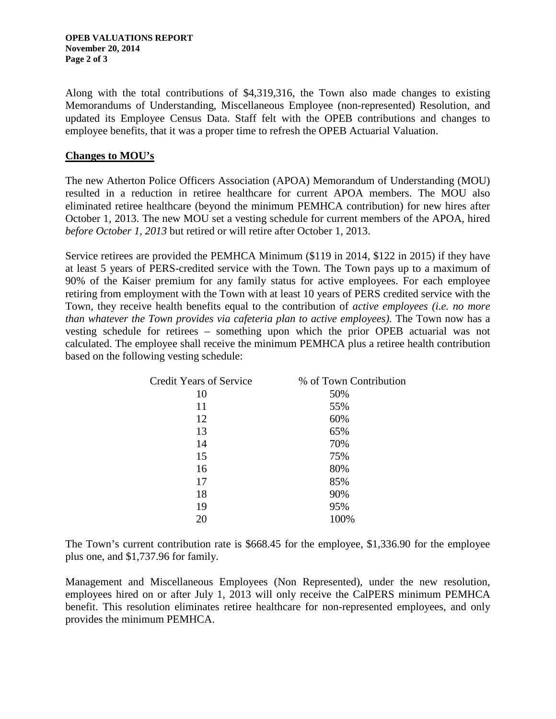Along with the total contributions of \$4,319,316, the Town also made changes to existing Memorandums of Understanding, Miscellaneous Employee (non-represented) Resolution, and updated its Employee Census Data. Staff felt with the OPEB contributions and changes to employee benefits, that it was a proper time to refresh the OPEB Actuarial Valuation.

#### **Changes to MOU's**

The new Atherton Police Officers Association (APOA) Memorandum of Understanding (MOU) resulted in a reduction in retiree healthcare for current APOA members. The MOU also eliminated retiree healthcare (beyond the minimum PEMHCA contribution) for new hires after October 1, 2013. The new MOU set a vesting schedule for current members of the APOA, hired *before October 1, 2013* but retired or will retire after October 1, 2013.

Service retirees are provided the PEMHCA Minimum (\$119 in 2014, \$122 in 2015) if they have at least 5 years of PERS-credited service with the Town. The Town pays up to a maximum of 90% of the Kaiser premium for any family status for active employees. For each employee retiring from employment with the Town with at least 10 years of PERS credited service with the Town, they receive health benefits equal to the contribution of *active employees (i.e. no more than whatever the Town provides via cafeteria plan to active employees).* The Town now has a vesting schedule for retirees – something upon which the prior OPEB actuarial was not calculated. The employee shall receive the minimum PEMHCA plus a retiree health contribution based on the following vesting schedule:

| <b>Credit Years of Service</b> | % of Town Contribution |
|--------------------------------|------------------------|
| 10                             | 50%                    |
| 11                             | 55%                    |
| 12                             | 60%                    |
| 13                             | 65%                    |
| 14                             | 70%                    |
| 15                             | 75%                    |
| 16                             | 80%                    |
| 17                             | 85%                    |
| 18                             | 90%                    |
| 19                             | 95%                    |
| 20                             | 100%                   |

The Town's current contribution rate is \$668.45 for the employee, \$1,336.90 for the employee plus one, and \$1,737.96 for family.

Management and Miscellaneous Employees (Non Represented), under the new resolution, employees hired on or after July 1, 2013 will only receive the CalPERS minimum PEMHCA benefit. This resolution eliminates retiree healthcare for non-represented employees, and only provides the minimum PEMHCA.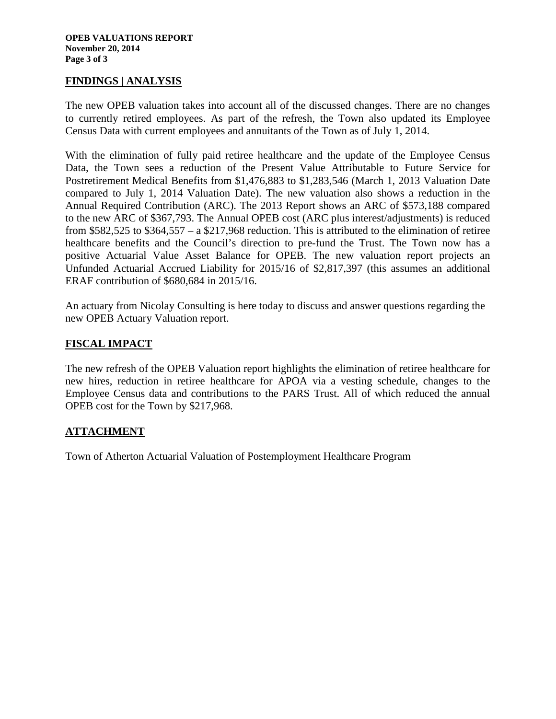#### **FINDINGS | ANALYSIS**

The new OPEB valuation takes into account all of the discussed changes. There are no changes to currently retired employees. As part of the refresh, the Town also updated its Employee Census Data with current employees and annuitants of the Town as of July 1, 2014.

With the elimination of fully paid retiree healthcare and the update of the Employee Census Data, the Town sees a reduction of the Present Value Attributable to Future Service for Postretirement Medical Benefits from \$1,476,883 to \$1,283,546 (March 1, 2013 Valuation Date compared to July 1, 2014 Valuation Date). The new valuation also shows a reduction in the Annual Required Contribution (ARC). The 2013 Report shows an ARC of \$573,188 compared to the new ARC of \$367,793. The Annual OPEB cost (ARC plus interest/adjustments) is reduced from \$582,525 to \$364,557 – a \$217,968 reduction. This is attributed to the elimination of retiree healthcare benefits and the Council's direction to pre-fund the Trust. The Town now has a positive Actuarial Value Asset Balance for OPEB. The new valuation report projects an Unfunded Actuarial Accrued Liability for 2015/16 of \$2,817,397 (this assumes an additional ERAF contribution of \$680,684 in 2015/16.

An actuary from Nicolay Consulting is here today to discuss and answer questions regarding the new OPEB Actuary Valuation report.

#### **FISCAL IMPACT**

The new refresh of the OPEB Valuation report highlights the elimination of retiree healthcare for new hires, reduction in retiree healthcare for APOA via a vesting schedule, changes to the Employee Census data and contributions to the PARS Trust. All of which reduced the annual OPEB cost for the Town by \$217,968.

#### **ATTACHMENT**

Town of Atherton Actuarial Valuation of Postemployment Healthcare Program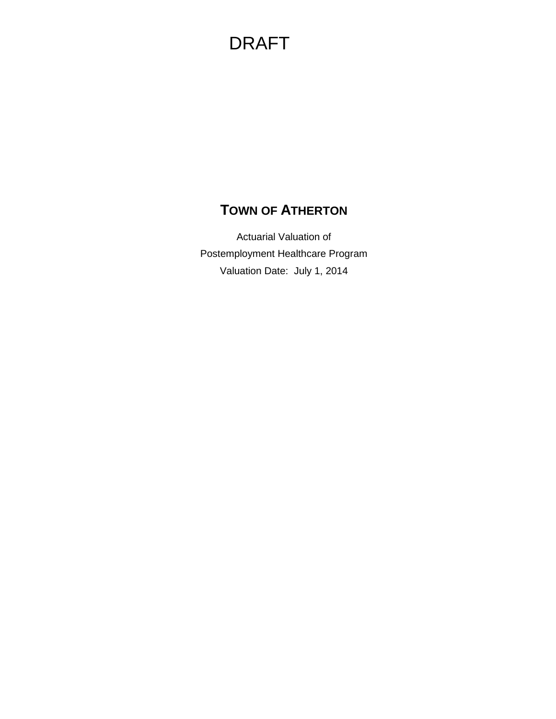## **TOWN OF ATHERTON**

Actuarial Valuation of Postemployment Healthcare Program Valuation Date: July 1, 2014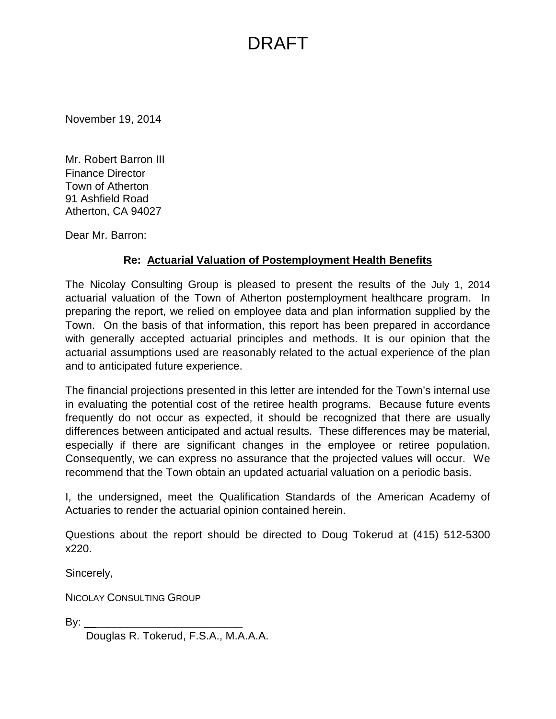November 19, 2014

Mr. Robert Barron III Finance Director Town of Atherton 91 Ashfield Road Atherton, CA 94027

Dear Mr. Barron:

### **Re: Actuarial Valuation of Postemployment Health Benefits**

The Nicolay Consulting Group is pleased to present the results of the July 1, 2014 actuarial valuation of the Town of Atherton postemployment healthcare program. In preparing the report, we relied on employee data and plan information supplied by the Town. On the basis of that information, this report has been prepared in accordance with generally accepted actuarial principles and methods. It is our opinion that the actuarial assumptions used are reasonably related to the actual experience of the plan and to anticipated future experience.

The financial projections presented in this letter are intended for the Town's internal use in evaluating the potential cost of the retiree health programs. Because future events frequently do not occur as expected, it should be recognized that there are usually differences between anticipated and actual results. These differences may be material, especially if there are significant changes in the employee or retiree population. Consequently, we can express no assurance that the projected values will occur. We recommend that the Town obtain an updated actuarial valuation on a periodic basis.

I, the undersigned, meet the Qualification Standards of the American Academy of Actuaries to render the actuarial opinion contained herein.

Questions about the report should be directed to Doug Tokerud at (415) 512-5300 x220.

Sincerely,

NICOLAY CONSULTING GROUP

By:  $\rule{1em}{0.15mm}$ 

Douglas R. Tokerud, F.S.A., M.A.A.A.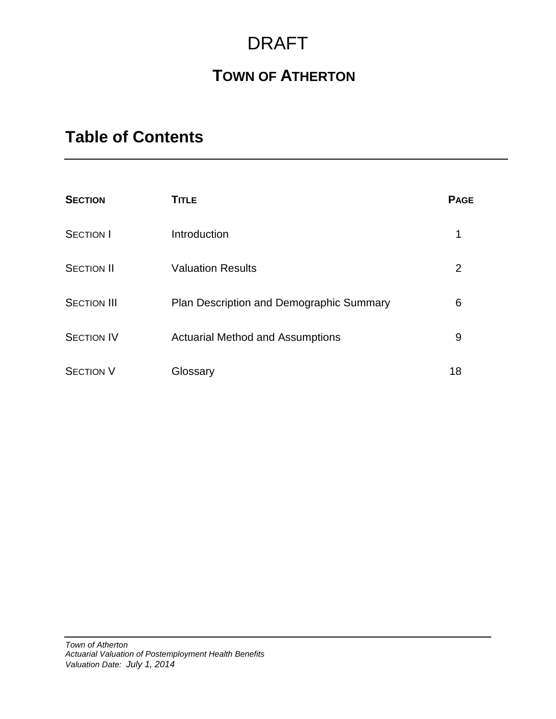## **TOWN OF ATHERTON**

## **Table of Contents**

| <b>SECTION</b>     | <b>TITLE</b>                             | <b>PAGE</b> |
|--------------------|------------------------------------------|-------------|
| <b>SECTION I</b>   | Introduction                             | 1           |
| <b>SECTION II</b>  | <b>Valuation Results</b>                 | 2           |
| <b>SECTION III</b> | Plan Description and Demographic Summary | 6           |
| <b>SECTION IV</b>  | <b>Actuarial Method and Assumptions</b>  | 9           |
| <b>SECTION V</b>   | Glossary                                 | 18          |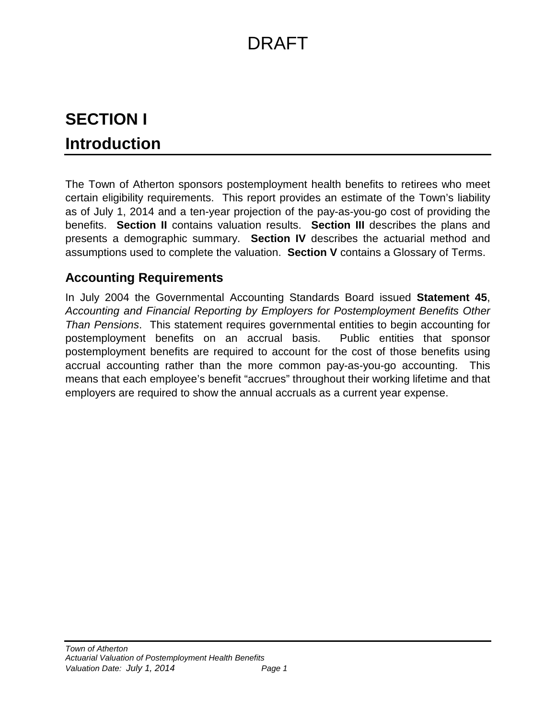# **SECTION I Introduction**

The Town of Atherton sponsors postemployment health benefits to retirees who meet certain eligibility requirements. This report provides an estimate of the Town's liability as of July 1, 2014 and a ten-year projection of the pay-as-you-go cost of providing the benefits. **Section II** contains valuation results. **Section III** describes the plans and presents a demographic summary. **Section IV** describes the actuarial method and assumptions used to complete the valuation. **Section V** contains a Glossary of Terms.

## **Accounting Requirements**

In July 2004 the Governmental Accounting Standards Board issued **Statement 45**, *Accounting and Financial Reporting by Employers for Postemployment Benefits Other Than Pensions*. This statement requires governmental entities to begin accounting for postemployment benefits on an accrual basis. Public entities that sponsor postemployment benefits are required to account for the cost of those benefits using accrual accounting rather than the more common pay-as-you-go accounting. This means that each employee's benefit "accrues" throughout their working lifetime and that employers are required to show the annual accruals as a current year expense.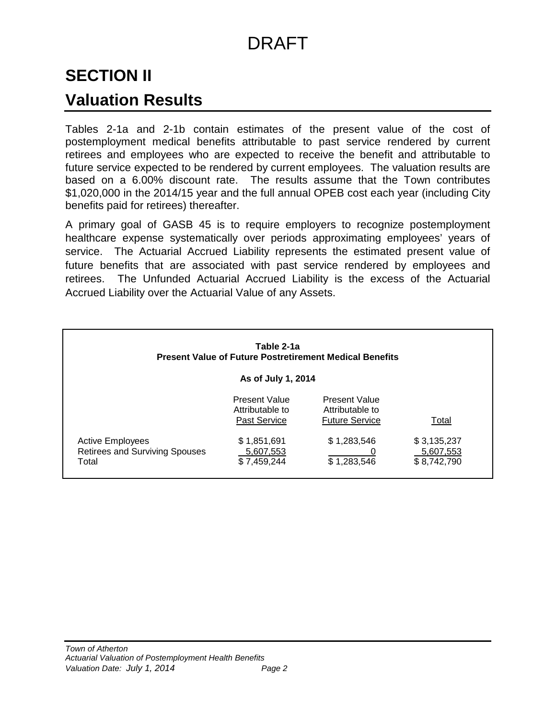## **SECTION II**

## **Valuation Results**

Tables 2-1a and 2-1b contain estimates of the present value of the cost of postemployment medical benefits attributable to past service rendered by current retirees and employees who are expected to receive the benefit and attributable to future service expected to be rendered by current employees. The valuation results are based on a 6.00% discount rate. The results assume that the Town contributes \$1,020,000 in the 2014/15 year and the full annual OPEB cost each year (including City benefits paid for retirees) thereafter.

A primary goal of GASB 45 is to require employers to recognize postemployment healthcare expense systematically over periods approximating employees' years of service. The Actuarial Accrued Liability represents the estimated present value of future benefits that are associated with past service rendered by employees and retirees. The Unfunded Actuarial Accrued Liability is the excess of the Actuarial Accrued Liability over the Actuarial Value of any Assets.

|                                                                           | Table 2-1a                                              | <b>Present Value of Future Postretirement Medical Benefits</b>   |                                         |
|---------------------------------------------------------------------------|---------------------------------------------------------|------------------------------------------------------------------|-----------------------------------------|
|                                                                           | As of July 1, 2014                                      |                                                                  |                                         |
|                                                                           | <b>Present Value</b><br>Attributable to<br>Past Service | <b>Present Value</b><br>Attributable to<br><b>Future Service</b> | Total                                   |
| <b>Active Employees</b><br><b>Retirees and Surviving Spouses</b><br>Total | \$1,851,691<br>5,607,553<br>\$7,459,244                 | \$1,283,546<br>\$1,283,546                                       | \$3,135,237<br>5,607,553<br>\$8,742,790 |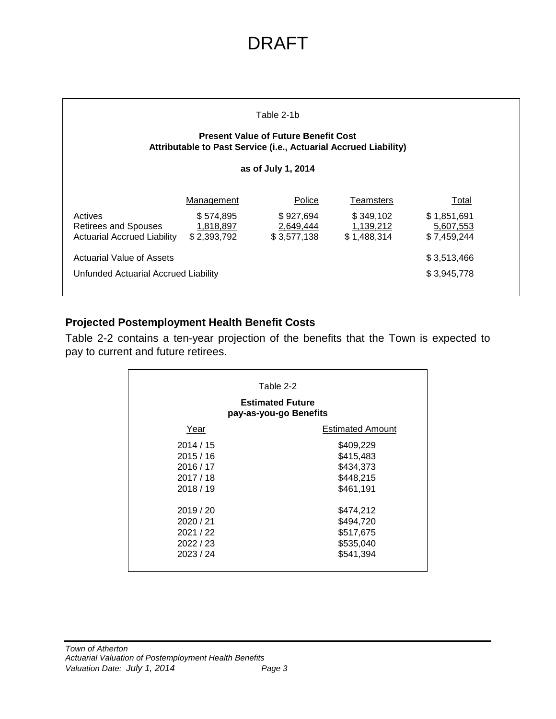|                                                                              |                                       | Table 2-1b<br><b>Present Value of Future Benefit Cost</b><br>Attributable to Past Service (i.e., Actuarial Accrued Liability) |                                       |                                         |
|------------------------------------------------------------------------------|---------------------------------------|-------------------------------------------------------------------------------------------------------------------------------|---------------------------------------|-----------------------------------------|
|                                                                              |                                       | as of July 1, 2014                                                                                                            |                                       |                                         |
|                                                                              | Management                            | Police                                                                                                                        | <b>Teamsters</b>                      | Total                                   |
| Actives<br><b>Retirees and Spouses</b><br><b>Actuarial Accrued Liability</b> | \$574,895<br>1,818,897<br>\$2,393,792 | \$927,694<br>2,649,444<br>\$3,577,138                                                                                         | \$349,102<br>1,139,212<br>\$1,488,314 | \$1,851,691<br>5,607,553<br>\$7,459,244 |
| Actuarial Value of Assets                                                    |                                       |                                                                                                                               |                                       | \$3,513,466                             |
| Unfunded Actuarial Accrued Liability                                         |                                       |                                                                                                                               |                                       | \$3,945,778                             |

### **Projected Postemployment Health Benefit Costs**

Table 2-2 contains a ten-year projection of the benefits that the Town is expected to pay to current and future retirees.

|           | Table 2-2                                         |
|-----------|---------------------------------------------------|
|           | <b>Estimated Future</b><br>pay-as-you-go Benefits |
| Year      | <b>Estimated Amount</b>                           |
| 2014/15   | \$409,229                                         |
| 2015/16   | \$415,483                                         |
| 2016/17   | \$434,373                                         |
| 2017/18   | \$448,215                                         |
| 2018/19   | \$461,191                                         |
| 2019/20   | \$474,212                                         |
| 2020 / 21 | \$494,720                                         |
| 2021/22   | \$517,675                                         |
| 2022/23   | \$535,040                                         |
| 2023/24   | \$541,394                                         |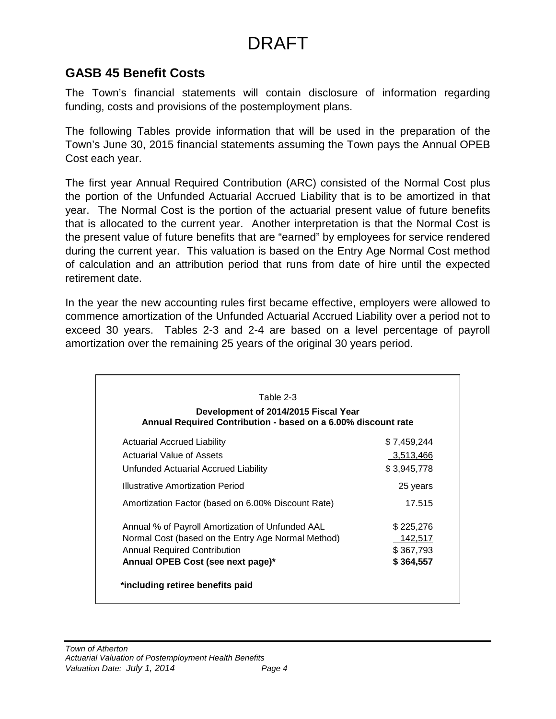## **GASB 45 Benefit Costs**

The Town's financial statements will contain disclosure of information regarding funding, costs and provisions of the postemployment plans.

The following Tables provide information that will be used in the preparation of the Town's June 30, 2015 financial statements assuming the Town pays the Annual OPEB Cost each year.

The first year Annual Required Contribution (ARC) consisted of the Normal Cost plus the portion of the Unfunded Actuarial Accrued Liability that is to be amortized in that year. The Normal Cost is the portion of the actuarial present value of future benefits that is allocated to the current year. Another interpretation is that the Normal Cost is the present value of future benefits that are "earned" by employees for service rendered during the current year. This valuation is based on the Entry Age Normal Cost method of calculation and an attribution period that runs from date of hire until the expected retirement date.

In the year the new accounting rules first became effective, employers were allowed to commence amortization of the Unfunded Actuarial Accrued Liability over a period not to exceed 30 years. Tables 2-3 and 2-4 are based on a level percentage of payroll amortization over the remaining 25 years of the original 30 years period.

| Table 2-3                                                                                             |             |
|-------------------------------------------------------------------------------------------------------|-------------|
| Development of 2014/2015 Fiscal Year<br>Annual Required Contribution - based on a 6.00% discount rate |             |
| Actuarial Accrued Liability                                                                           | \$7,459,244 |
| Actuarial Value of Assets                                                                             | 3,513,466   |
| Unfunded Actuarial Accrued Liability                                                                  | \$3,945,778 |
| Illustrative Amortization Period                                                                      | 25 years    |
| Amortization Factor (based on 6.00% Discount Rate)                                                    | 17.515      |
| Annual % of Payroll Amortization of Unfunded AAL                                                      | \$225,276   |
| Normal Cost (based on the Entry Age Normal Method)                                                    | 142,517     |
| Annual Required Contribution                                                                          | \$367,793   |
| Annual OPEB Cost (see next page)*                                                                     | \$364,557   |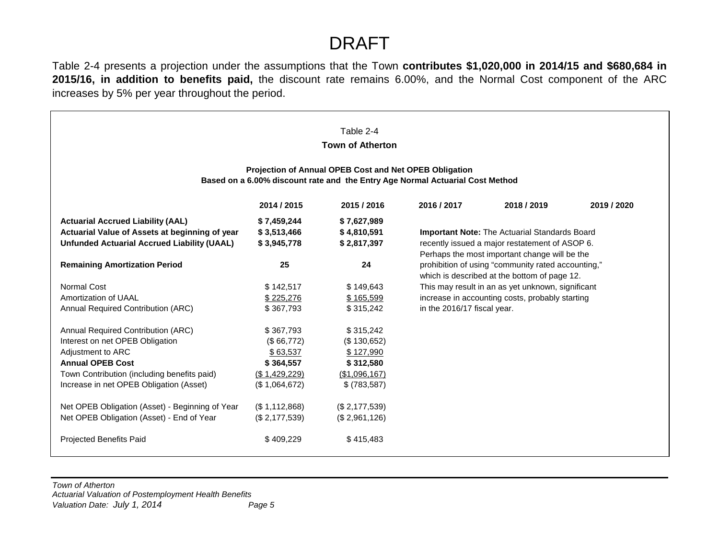Table 2-4 presents a projection under the assumptions that the Town **contributes \$1,020,000 in 2014/15 and \$680,684 in 2015/16, in addition to benefits paid,** the discount rate remains 6.00%, and the Normal Cost component of the ARC increases by 5% per year throughout the period.

|                                                    |                | Table 2-4                                              |                                                                               |                                                      |             |
|----------------------------------------------------|----------------|--------------------------------------------------------|-------------------------------------------------------------------------------|------------------------------------------------------|-------------|
|                                                    |                | <b>Town of Atherton</b>                                |                                                                               |                                                      |             |
|                                                    |                |                                                        |                                                                               |                                                      |             |
|                                                    |                | Projection of Annual OPEB Cost and Net OPEB Obligation |                                                                               |                                                      |             |
|                                                    |                |                                                        | Based on a 6.00% discount rate and the Entry Age Normal Actuarial Cost Method |                                                      |             |
|                                                    | 2014 / 2015    | 2015 / 2016                                            | 2016 / 2017                                                                   | 2018 / 2019                                          | 2019 / 2020 |
| <b>Actuarial Accrued Liability (AAL)</b>           | \$7,459,244    | \$7,627,989                                            |                                                                               |                                                      |             |
| Actuarial Value of Assets at beginning of year     | \$3,513,466    | \$4,810,591                                            |                                                                               | <b>Important Note:</b> The Actuarial Standards Board |             |
| <b>Unfunded Actuarial Accrued Liability (UAAL)</b> | \$3,945,778    | \$2,817,397                                            | recently issued a major restatement of ASOP 6.                                |                                                      |             |
|                                                    |                |                                                        |                                                                               | Perhaps the most important change will be the        |             |
| <b>Remaining Amortization Period</b>               | 25             | 24                                                     | prohibition of using "community rated accounting,"                            |                                                      |             |
|                                                    |                |                                                        |                                                                               | which is described at the bottom of page 12.         |             |
| Normal Cost                                        | \$142,517      | \$149,643                                              |                                                                               | This may result in an as yet unknown, significant    |             |
| Amortization of UAAL                               | \$225,276      | \$165,599                                              |                                                                               | increase in accounting costs, probably starting      |             |
| Annual Required Contribution (ARC)                 | \$367,793      | \$315,242                                              | in the 2016/17 fiscal year.                                                   |                                                      |             |
| Annual Required Contribution (ARC)                 | \$367,793      | \$315,242                                              |                                                                               |                                                      |             |
| Interest on net OPEB Obligation                    | (\$66,772)     | (\$130,652)                                            |                                                                               |                                                      |             |
| Adjustment to ARC                                  | \$63,537       | \$127,990                                              |                                                                               |                                                      |             |
| <b>Annual OPEB Cost</b>                            | \$364,557      | \$312,580                                              |                                                                               |                                                      |             |
| Town Contribution (including benefits paid)        | (S1, 429, 229) | (\$1,096,167)                                          |                                                                               |                                                      |             |
| Increase in net OPEB Obligation (Asset)            | (\$1,064,672)  | \$ (783, 587)                                          |                                                                               |                                                      |             |
| Net OPEB Obligation (Asset) - Beginning of Year    | (\$1,112,868)  | (\$2,177,539)                                          |                                                                               |                                                      |             |
| Net OPEB Obligation (Asset) - End of Year          | (\$2,177,539)  | (\$2,961,126)                                          |                                                                               |                                                      |             |
| Projected Benefits Paid                            | \$409,229      | \$415,483                                              |                                                                               |                                                      |             |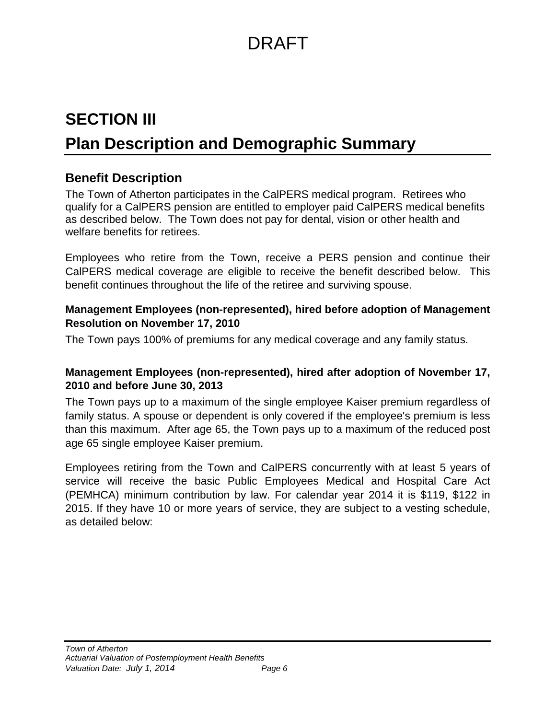# **SECTION III Plan Description and Demographic Summary**

## **Benefit Description**

The Town of Atherton participates in the CalPERS medical program. Retirees who qualify for a CalPERS pension are entitled to employer paid CalPERS medical benefits as described below. The Town does not pay for dental, vision or other health and welfare benefits for retirees.

Employees who retire from the Town, receive a PERS pension and continue their CalPERS medical coverage are eligible to receive the benefit described below. This benefit continues throughout the life of the retiree and surviving spouse.

### **Management Employees (non-represented), hired before adoption of Management Resolution on November 17, 2010**

The Town pays 100% of premiums for any medical coverage and any family status.

### **Management Employees (non-represented), hired after adoption of November 17, 2010 and before June 30, 2013**

The Town pays up to a maximum of the single employee Kaiser premium regardless of family status. A spouse or dependent is only covered if the employee's premium is less than this maximum. After age 65, the Town pays up to a maximum of the reduced post age 65 single employee Kaiser premium.

Employees retiring from the Town and CalPERS concurrently with at least 5 years of service will receive the basic Public Employees Medical and Hospital Care Act (PEMHCA) minimum contribution by law. For calendar year 2014 it is \$119, \$122 in 2015. If they have 10 or more years of service, they are subject to a vesting schedule, as detailed below: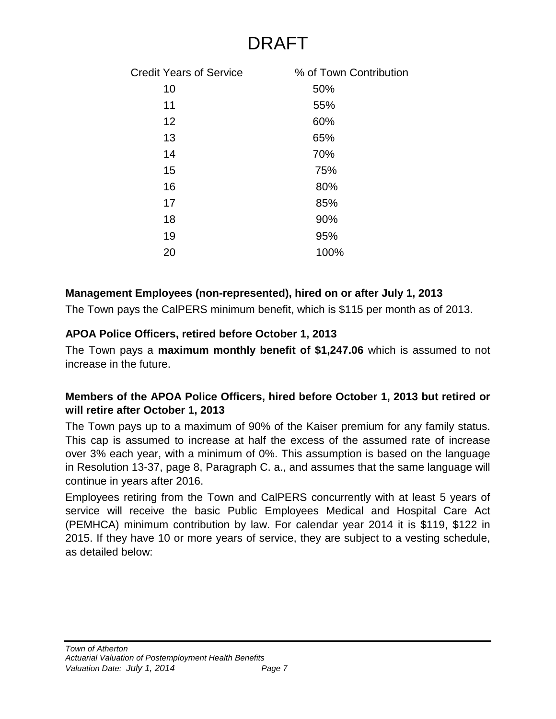| <b>Credit Years of Service</b> | % of Town Contribution |
|--------------------------------|------------------------|
| 10                             | 50%                    |
| 11                             | 55%                    |
| 12                             | 60%                    |
| 13                             | 65%                    |
| 14                             | 70%                    |
| 15                             | 75%                    |
| 16                             | 80%                    |
| 17                             | 85%                    |
| 18                             | 90%                    |
| 19                             | 95%                    |
| 20                             | 100%                   |

### **Management Employees (non-represented), hired on or after July 1, 2013**

The Town pays the CalPERS minimum benefit, which is \$115 per month as of 2013.

### **APOA Police Officers, retired before October 1, 2013**

The Town pays a **maximum monthly benefit of \$1,247.06** which is assumed to not increase in the future.

### **Members of the APOA Police Officers, hired before October 1, 2013 but retired or will retire after October 1, 2013**

The Town pays up to a maximum of 90% of the Kaiser premium for any family status. This cap is assumed to increase at half the excess of the assumed rate of increase over 3% each year, with a minimum of 0%. This assumption is based on the language in Resolution 13-37, page 8, Paragraph C. a., and assumes that the same language will continue in years after 2016.

Employees retiring from the Town and CalPERS concurrently with at least 5 years of service will receive the basic Public Employees Medical and Hospital Care Act (PEMHCA) minimum contribution by law. For calendar year 2014 it is \$119, \$122 in 2015. If they have 10 or more years of service, they are subject to a vesting schedule, as detailed below: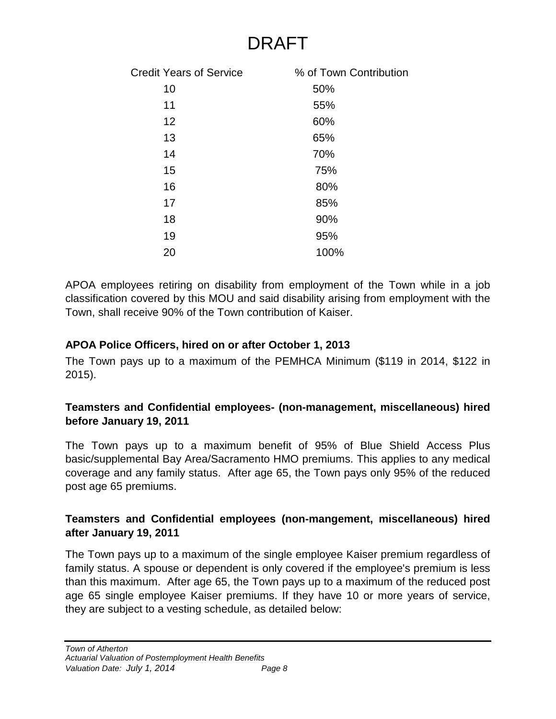| <b>Credit Years of Service</b> | % of Town Contribution |
|--------------------------------|------------------------|
| 10                             | 50%                    |
| 11                             | 55%                    |
| 12                             | 60%                    |
| 13                             | 65%                    |
| 14                             | 70%                    |
| 15                             | 75%                    |
| 16                             | 80%                    |
| 17                             | 85%                    |
| 18                             | 90%                    |
| 19                             | 95%                    |
| 20                             | 100%                   |
|                                |                        |

APOA employees retiring on disability from employment of the Town while in a job classification covered by this MOU and said disability arising from employment with the Town, shall receive 90% of the Town contribution of Kaiser.

### **APOA Police Officers, hired on or after October 1, 2013**

The Town pays up to a maximum of the PEMHCA Minimum (\$119 in 2014, \$122 in 2015).

### **Teamsters and Confidential employees- (non-management, miscellaneous) hired before January 19, 2011**

The Town pays up to a maximum benefit of 95% of Blue Shield Access Plus basic/supplemental Bay Area/Sacramento HMO premiums. This applies to any medical coverage and any family status. After age 65, the Town pays only 95% of the reduced post age 65 premiums.

### **Teamsters and Confidential employees (non-mangement, miscellaneous) hired after January 19, 2011**

The Town pays up to a maximum of the single employee Kaiser premium regardless of family status. A spouse or dependent is only covered if the employee's premium is less than this maximum. After age 65, the Town pays up to a maximum of the reduced post age 65 single employee Kaiser premiums. If they have 10 or more years of service, they are subject to a vesting schedule, as detailed below: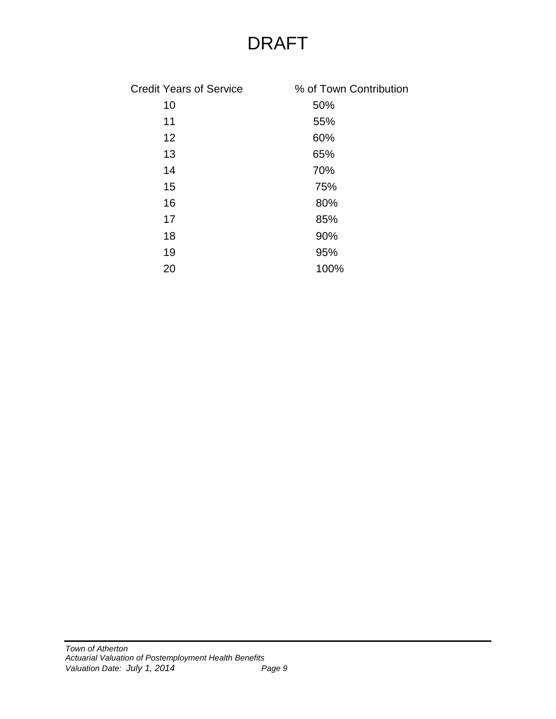| <b>Credit Years of Service</b> | % of Town Contribution |
|--------------------------------|------------------------|
| 10                             | 50%                    |
| 11                             | 55%                    |
| 12                             | 60%                    |
| 13                             | 65%                    |
| 14                             | 70%                    |
| 15                             | 75%                    |
| 16                             | 80%                    |
| 17                             | 85%                    |
| 18                             | 90%                    |
| 19                             | 95%                    |
| 20                             | 100%                   |
|                                |                        |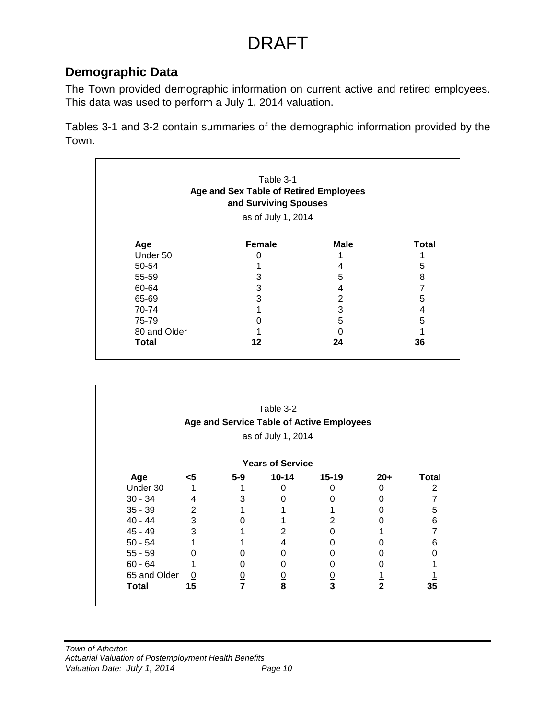## **Demographic Data**

The Town provided demographic information on current active and retired employees. This data was used to perform a July 1, 2014 valuation.

Tables 3-1 and 3-2 contain summaries of the demographic information provided by the Town.

| Age and Sex Table of Retired Employees<br>and Surviving Spouses<br>as of July 1, 2014 |               |          |              |  |
|---------------------------------------------------------------------------------------|---------------|----------|--------------|--|
| Age                                                                                   | <b>Female</b> | Male     | <b>Total</b> |  |
| Under 50                                                                              | O             |          |              |  |
| 50-54                                                                                 |               | 4        | 5            |  |
| 55-59                                                                                 | 3             | 5        | 8            |  |
| 60-64                                                                                 | 3             | 4        |              |  |
| 65-69                                                                                 | 3             | 2        | 5            |  |
| 70-74                                                                                 |               | 3        | 4            |  |
| 75-79                                                                                 |               | 5        | 5            |  |
| 80 and Older                                                                          |               | <u>0</u> |              |  |
| Total                                                                                 | 12            | 24       | 36           |  |

|              |                |               | Table 3-2               |                                           |               |              |
|--------------|----------------|---------------|-------------------------|-------------------------------------------|---------------|--------------|
|              |                |               |                         | Age and Service Table of Active Employees |               |              |
|              |                |               | as of July 1, 2014      |                                           |               |              |
|              |                |               | <b>Years of Service</b> |                                           |               |              |
| Age          | <5             | $5-9$         | $10 - 14$               | $15 - 19$                                 | $20+$         | <b>Total</b> |
| Under 30     |                |               | O                       | 0                                         | 0             |              |
| $30 - 34$    | 4              | 3             | O                       | 0                                         | O             |              |
| $35 - 39$    | $\overline{2}$ |               |                         |                                           |               | 5            |
| 40 - 44      | 3              | 0             |                         | 2                                         |               | 6            |
| 45 - 49      | 3              |               | 2                       | 0                                         |               |              |
| $50 - 54$    |                |               | 4                       | 0                                         |               | 6            |
| $55 - 59$    | 0              |               | O                       | 0                                         |               |              |
| $60 - 64$    |                | 0             | U                       | 0                                         |               |              |
| 65 and Older | $\overline{0}$ |               |                         |                                           |               |              |
| Total        | 15             | $\frac{0}{7}$ | $\frac{0}{8}$           | $\frac{0}{3}$                             | $\frac{1}{2}$ | 35           |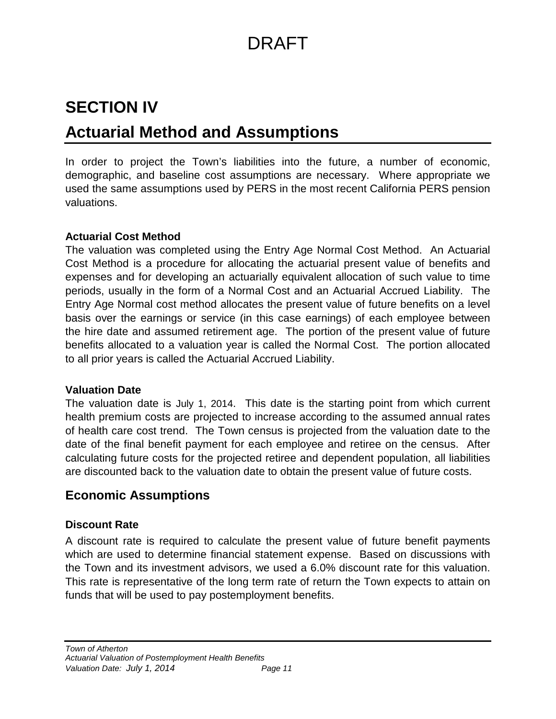# **SECTION IV Actuarial Method and Assumptions**

In order to project the Town's liabilities into the future, a number of economic, demographic, and baseline cost assumptions are necessary. Where appropriate we used the same assumptions used by PERS in the most recent California PERS pension valuations.

### **Actuarial Cost Method**

The valuation was completed using the Entry Age Normal Cost Method. An Actuarial Cost Method is a procedure for allocating the actuarial present value of benefits and expenses and for developing an actuarially equivalent allocation of such value to time periods, usually in the form of a Normal Cost and an Actuarial Accrued Liability. The Entry Age Normal cost method allocates the present value of future benefits on a level basis over the earnings or service (in this case earnings) of each employee between the hire date and assumed retirement age. The portion of the present value of future benefits allocated to a valuation year is called the Normal Cost. The portion allocated to all prior years is called the Actuarial Accrued Liability.

### **Valuation Date**

The valuation date is July 1, 2014. This date is the starting point from which current health premium costs are projected to increase according to the assumed annual rates of health care cost trend. The Town census is projected from the valuation date to the date of the final benefit payment for each employee and retiree on the census. After calculating future costs for the projected retiree and dependent population, all liabilities are discounted back to the valuation date to obtain the present value of future costs.

## **Economic Assumptions**

### **Discount Rate**

A discount rate is required to calculate the present value of future benefit payments which are used to determine financial statement expense. Based on discussions with the Town and its investment advisors, we used a 6.0% discount rate for this valuation. This rate is representative of the long term rate of return the Town expects to attain on funds that will be used to pay postemployment benefits.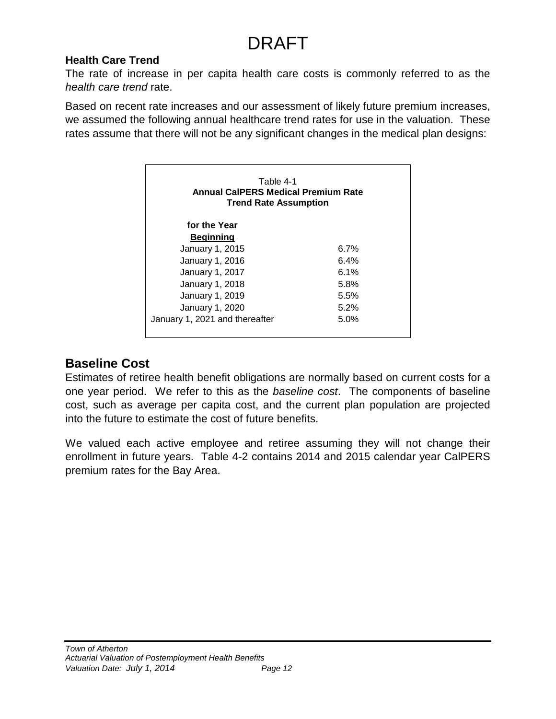### **Health Care Trend**

The rate of increase in per capita health care costs is commonly referred to as the *health care trend* rate.

Based on recent rate increases and our assessment of likely future premium increases, we assumed the following annual healthcare trend rates for use in the valuation. These rates assume that there will not be any significant changes in the medical plan designs:

| Table 4-1<br>Annual CalPERS Medical Premium Rate<br><b>Trend Rate Assumption</b> |      |
|----------------------------------------------------------------------------------|------|
| for the Year                                                                     |      |
| <u>Beginning</u>                                                                 |      |
| January 1, 2015                                                                  | 6.7% |
| January 1, 2016                                                                  | 6.4% |
| January 1, 2017                                                                  | 6.1% |
| January 1, 2018                                                                  | 5.8% |
| January 1, 2019                                                                  | 5.5% |
| January 1, 2020                                                                  | 5.2% |
| January 1, 2021 and thereafter                                                   | 5.0% |

## **Baseline Cost**

Estimates of retiree health benefit obligations are normally based on current costs for a one year period. We refer to this as the *baseline cost*. The components of baseline cost, such as average per capita cost, and the current plan population are projected into the future to estimate the cost of future benefits.

We valued each active employee and retiree assuming they will not change their enrollment in future years. Table 4-2 contains 2014 and 2015 calendar year CalPERS premium rates for the Bay Area.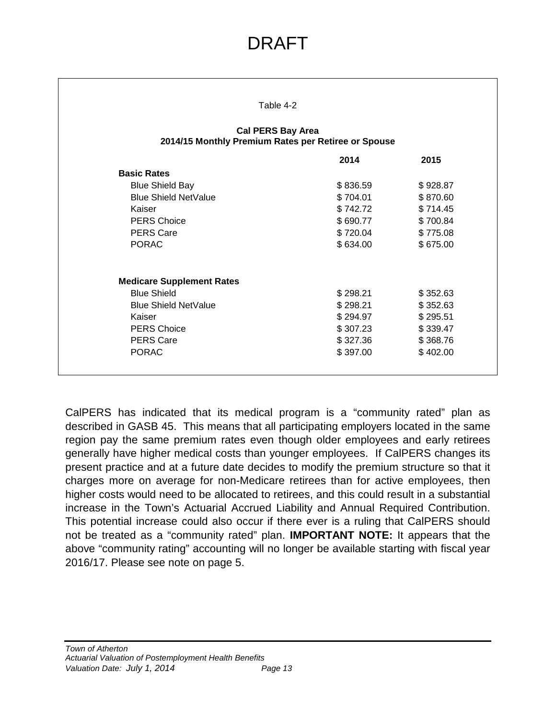|                                  | Table 4-2                                                                       |          |
|----------------------------------|---------------------------------------------------------------------------------|----------|
|                                  | <b>Cal PERS Bay Area</b><br>2014/15 Monthly Premium Rates per Retiree or Spouse |          |
|                                  | 2014                                                                            | 2015     |
| <b>Basic Rates</b>               |                                                                                 |          |
| <b>Blue Shield Bay</b>           | \$836.59                                                                        | \$928.87 |
| <b>Blue Shield NetValue</b>      | \$704.01                                                                        | \$870.60 |
| Kaiser                           | \$742.72                                                                        | \$714.45 |
| <b>PERS Choice</b>               | \$690.77                                                                        | \$700.84 |
| <b>PERS Care</b>                 | \$720.04                                                                        | \$775.08 |
| <b>PORAC</b>                     | \$634.00                                                                        | \$675.00 |
| <b>Medicare Supplement Rates</b> |                                                                                 |          |
| <b>Blue Shield</b>               | \$298.21                                                                        | \$352.63 |
| <b>Blue Shield NetValue</b>      | \$298.21                                                                        | \$352.63 |
| Kaiser                           | \$294.97                                                                        | \$295.51 |
| <b>PERS Choice</b>               | \$307.23                                                                        | \$339.47 |
| <b>PERS Care</b>                 | \$327.36                                                                        | \$368.76 |
| <b>PORAC</b>                     | \$397.00                                                                        | \$402.00 |

CalPERS has indicated that its medical program is a "community rated" plan as described in GASB 45. This means that all participating employers located in the same region pay the same premium rates even though older employees and early retirees generally have higher medical costs than younger employees. If CalPERS changes its present practice and at a future date decides to modify the premium structure so that it charges more on average for non-Medicare retirees than for active employees, then higher costs would need to be allocated to retirees, and this could result in a substantial increase in the Town's Actuarial Accrued Liability and Annual Required Contribution. This potential increase could also occur if there ever is a ruling that CalPERS should not be treated as a "community rated" plan. **IMPORTANT NOTE:** It appears that the above "community rating" accounting will no longer be available starting with fiscal year 2016/17. Please see note on page 5.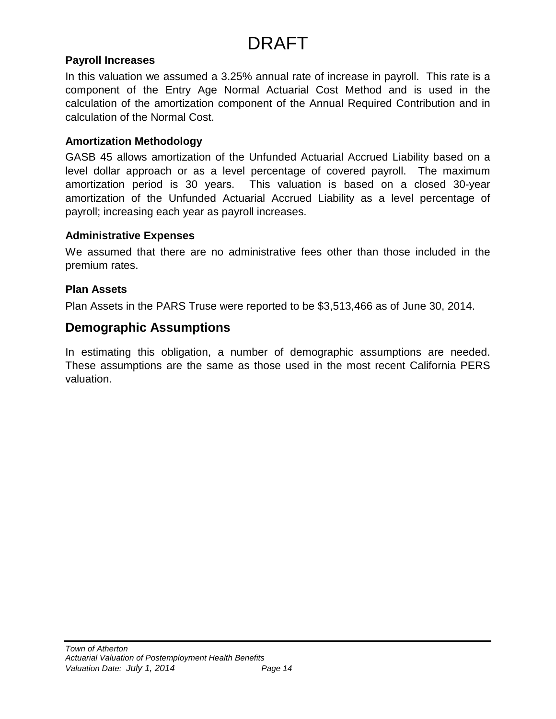### **Payroll Increases**

In this valuation we assumed a 3.25% annual rate of increase in payroll. This rate is a component of the Entry Age Normal Actuarial Cost Method and is used in the calculation of the amortization component of the Annual Required Contribution and in calculation of the Normal Cost.

### **Amortization Methodology**

GASB 45 allows amortization of the Unfunded Actuarial Accrued Liability based on a level dollar approach or as a level percentage of covered payroll. The maximum amortization period is 30 years. This valuation is based on a closed 30-year amortization of the Unfunded Actuarial Accrued Liability as a level percentage of payroll; increasing each year as payroll increases.

### **Administrative Expenses**

We assumed that there are no administrative fees other than those included in the premium rates.

### **Plan Assets**

Plan Assets in the PARS Truse were reported to be \$3,513,466 as of June 30, 2014.

### **Demographic Assumptions**

In estimating this obligation, a number of demographic assumptions are needed. These assumptions are the same as those used in the most recent California PERS valuation.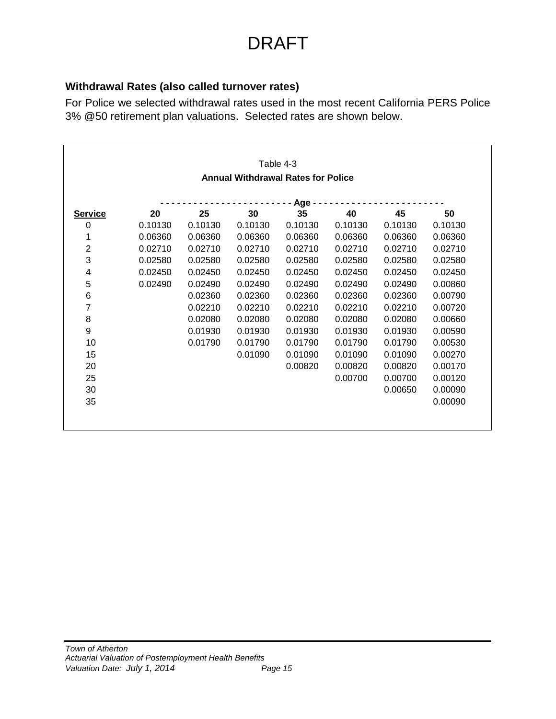### **Withdrawal Rates (also called turnover rates)**

For Police we selected withdrawal rates used in the most recent California PERS Police 3% @50 retirement plan valuations. Selected rates are shown below.

|                                           |         |         |         | Table 4-3 |         |         |         |  |  |  |
|-------------------------------------------|---------|---------|---------|-----------|---------|---------|---------|--|--|--|
| <b>Annual Withdrawal Rates for Police</b> |         |         |         |           |         |         |         |  |  |  |
| Age                                       |         |         |         |           |         |         |         |  |  |  |
| <b>Service</b>                            | 20      | 25      | 30      | 35        | 40      | 45      | 50      |  |  |  |
| 0                                         | 0.10130 | 0.10130 | 0.10130 | 0.10130   | 0.10130 | 0.10130 | 0.10130 |  |  |  |
| 1                                         | 0.06360 | 0.06360 | 0.06360 | 0.06360   | 0.06360 | 0.06360 | 0.06360 |  |  |  |
| $\overline{c}$                            | 0.02710 | 0.02710 | 0.02710 | 0.02710   | 0.02710 | 0.02710 | 0.02710 |  |  |  |
| 3                                         | 0.02580 | 0.02580 | 0.02580 | 0.02580   | 0.02580 | 0.02580 | 0.02580 |  |  |  |
| 4                                         | 0.02450 | 0.02450 | 0.02450 | 0.02450   | 0.02450 | 0.02450 | 0.02450 |  |  |  |
| 5                                         | 0.02490 | 0.02490 | 0.02490 | 0.02490   | 0.02490 | 0.02490 | 0.00860 |  |  |  |
| 6                                         |         | 0.02360 | 0.02360 | 0.02360   | 0.02360 | 0.02360 | 0.00790 |  |  |  |
| 7                                         |         | 0.02210 | 0.02210 | 0.02210   | 0.02210 | 0.02210 | 0.00720 |  |  |  |
| 8                                         |         | 0.02080 | 0.02080 | 0.02080   | 0.02080 | 0.02080 | 0.00660 |  |  |  |
| 9                                         |         | 0.01930 | 0.01930 | 0.01930   | 0.01930 | 0.01930 | 0.00590 |  |  |  |
| 10                                        |         | 0.01790 | 0.01790 | 0.01790   | 0.01790 | 0.01790 | 0.00530 |  |  |  |
| 15                                        |         |         | 0.01090 | 0.01090   | 0.01090 | 0.01090 | 0.00270 |  |  |  |
| 20                                        |         |         |         | 0.00820   | 0.00820 | 0.00820 | 0.00170 |  |  |  |
| 25                                        |         |         |         |           | 0.00700 | 0.00700 | 0.00120 |  |  |  |
| 30                                        |         |         |         |           |         | 0.00650 | 0.00090 |  |  |  |
| 35                                        |         |         |         |           |         |         | 0.00090 |  |  |  |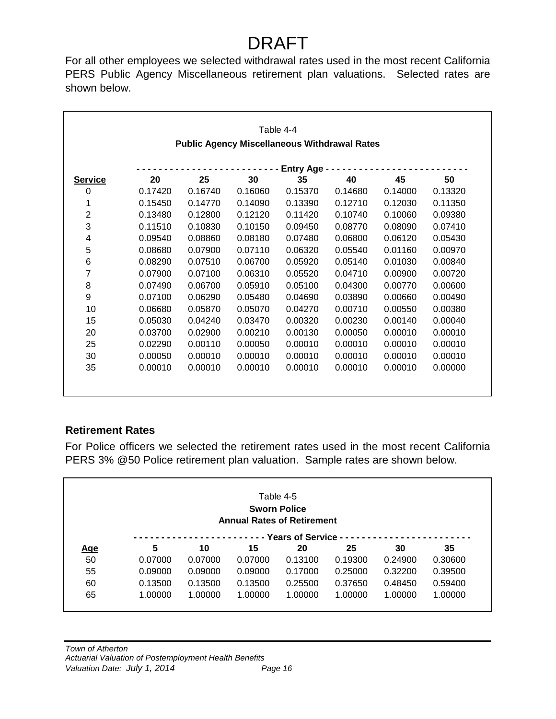For all other employees we selected withdrawal rates used in the most recent California PERS Public Agency Miscellaneous retirement plan valuations. Selected rates are shown below.

|                |         |         |                                                     | Table 4-4              |         |         |         |
|----------------|---------|---------|-----------------------------------------------------|------------------------|---------|---------|---------|
|                |         |         | <b>Public Agency Miscellaneous Withdrawal Rates</b> |                        |         |         |         |
|                |         |         |                                                     |                        |         |         |         |
| <b>Service</b> | 20      | 25      | 30                                                  | <b>Entry Age</b><br>35 | 40      | 45      | 50      |
| 0              | 0.17420 | 0.16740 | 0.16060                                             | 0.15370                | 0.14680 | 0.14000 | 0.13320 |
|                |         |         |                                                     |                        |         |         |         |
| 1              | 0.15450 | 0.14770 | 0.14090                                             | 0.13390                | 0.12710 | 0.12030 | 0.11350 |
| $\overline{2}$ | 0.13480 | 0.12800 | 0.12120                                             | 0.11420                | 0.10740 | 0.10060 | 0.09380 |
| 3              | 0.11510 | 0.10830 | 0.10150                                             | 0.09450                | 0.08770 | 0.08090 | 0.07410 |
| 4              | 0.09540 | 0.08860 | 0.08180                                             | 0.07480                | 0.06800 | 0.06120 | 0.05430 |
| 5              | 0.08680 | 0.07900 | 0.07110                                             | 0.06320                | 0.05540 | 0.01160 | 0.00970 |
| 6              | 0.08290 | 0.07510 | 0.06700                                             | 0.05920                | 0.05140 | 0.01030 | 0.00840 |
| 7              | 0.07900 | 0.07100 | 0.06310                                             | 0.05520                | 0.04710 | 0.00900 | 0.00720 |
| 8              | 0.07490 | 0.06700 | 0.05910                                             | 0.05100                | 0.04300 | 0.00770 | 0.00600 |
| 9              | 0.07100 | 0.06290 | 0.05480                                             | 0.04690                | 0.03890 | 0.00660 | 0.00490 |
| 10             | 0.06680 | 0.05870 | 0.05070                                             | 0.04270                | 0.00710 | 0.00550 | 0.00380 |
| 15             | 0.05030 | 0.04240 | 0.03470                                             | 0.00320                | 0.00230 | 0.00140 | 0.00040 |
| 20             | 0.03700 | 0.02900 | 0.00210                                             | 0.00130                | 0.00050 | 0.00010 | 0.00010 |
| 25             | 0.02290 | 0.00110 | 0.00050                                             | 0.00010                | 0.00010 | 0.00010 | 0.00010 |
| 30             | 0.00050 | 0.00010 | 0.00010                                             | 0.00010                | 0.00010 | 0.00010 | 0.00010 |
| 35             | 0.00010 | 0.00010 | 0.00010                                             | 0.00010                | 0.00010 | 0.00010 | 0.00000 |
|                |         |         |                                                     |                        |         |         |         |
|                |         |         |                                                     |                        |         |         |         |

### **Retirement Rates**

For Police officers we selected the retirement rates used in the most recent California PERS 3% @50 Police retirement plan valuation. Sample rates are shown below.

|            |         |         |                                   | Table 4-5                  |         |         |         |
|------------|---------|---------|-----------------------------------|----------------------------|---------|---------|---------|
|            |         |         |                                   | <b>Sworn Police</b>        |         |         |         |
|            |         |         | <b>Annual Rates of Retirement</b> |                            |         |         |         |
| <u>Age</u> | 5       | 10      | 15                                | --- Years of Service<br>20 | 25      | 30      | 35      |
| 50         | 0.07000 | 0.07000 | 0.07000                           | 0.13100                    | 0.19300 | 0.24900 | 0.30600 |
| 55         | 0.09000 | 0.09000 | 0.09000                           | 0.17000                    | 0.25000 | 0.32200 | 0.39500 |
| 60         | 0.13500 | 0.13500 | 0.13500                           | 0.25500                    | 0.37650 | 0.48450 | 0.59400 |
| 65         | 1.00000 | 1.00000 | 1.00000                           | 1.00000                    | 1.00000 | 1.00000 | 1.00000 |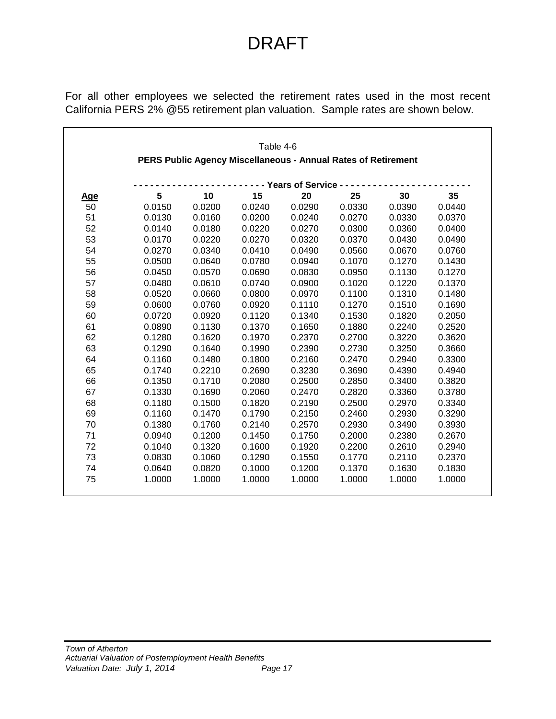For all other employees we selected the retirement rates used in the most recent California PERS 2% @55 retirement plan valuation. Sample rates are shown below.

|            |        |        | Table 4-6                                                     |                        |        |        |        |
|------------|--------|--------|---------------------------------------------------------------|------------------------|--------|--------|--------|
|            |        |        | PERS Public Agency Miscellaneous - Annual Rates of Retirement |                        |        |        |        |
|            |        |        |                                                               |                        |        |        |        |
|            |        |        |                                                               | - - Years of Service - |        |        |        |
| <u>Age</u> | 5      | 10     | 15                                                            | 20                     | 25     | 30     | 35     |
| 50         | 0.0150 | 0.0200 | 0.0240                                                        | 0.0290                 | 0.0330 | 0.0390 | 0.0440 |
| 51         | 0.0130 | 0.0160 | 0.0200                                                        | 0.0240                 | 0.0270 | 0.0330 | 0.0370 |
| 52         | 0.0140 | 0.0180 | 0.0220                                                        | 0.0270                 | 0.0300 | 0.0360 | 0.0400 |
| 53         | 0.0170 | 0.0220 | 0.0270                                                        | 0.0320                 | 0.0370 | 0.0430 | 0.0490 |
| 54         | 0.0270 | 0.0340 | 0.0410                                                        | 0.0490                 | 0.0560 | 0.0670 | 0.0760 |
| 55         | 0.0500 | 0.0640 | 0.0780                                                        | 0.0940                 | 0.1070 | 0.1270 | 0.1430 |
| 56         | 0.0450 | 0.0570 | 0.0690                                                        | 0.0830                 | 0.0950 | 0.1130 | 0.1270 |
| 57         | 0.0480 | 0.0610 | 0.0740                                                        | 0.0900                 | 0.1020 | 0.1220 | 0.1370 |
| 58         | 0.0520 | 0.0660 | 0.0800                                                        | 0.0970                 | 0.1100 | 0.1310 | 0.1480 |
| 59         | 0.0600 | 0.0760 | 0.0920                                                        | 0.1110                 | 0.1270 | 0.1510 | 0.1690 |
| 60         | 0.0720 | 0.0920 | 0.1120                                                        | 0.1340                 | 0.1530 | 0.1820 | 0.2050 |
| 61         | 0.0890 | 0.1130 | 0.1370                                                        | 0.1650                 | 0.1880 | 0.2240 | 0.2520 |
| 62         | 0.1280 | 0.1620 | 0.1970                                                        | 0.2370                 | 0.2700 | 0.3220 | 0.3620 |
| 63         | 0.1290 | 0.1640 | 0.1990                                                        | 0.2390                 | 0.2730 | 0.3250 | 0.3660 |
| 64         | 0.1160 | 0.1480 | 0.1800                                                        | 0.2160                 | 0.2470 | 0.2940 | 0.3300 |
| 65         | 0.1740 | 0.2210 | 0.2690                                                        | 0.3230                 | 0.3690 | 0.4390 | 0.4940 |
| 66         | 0.1350 | 0.1710 | 0.2080                                                        | 0.2500                 | 0.2850 | 0.3400 | 0.3820 |
| 67         | 0.1330 | 0.1690 | 0.2060                                                        | 0.2470                 | 0.2820 | 0.3360 | 0.3780 |
| 68         | 0.1180 | 0.1500 | 0.1820                                                        | 0.2190                 | 0.2500 | 0.2970 | 0.3340 |
| 69         | 0.1160 | 0.1470 | 0.1790                                                        | 0.2150                 | 0.2460 | 0.2930 | 0.3290 |
| 70         | 0.1380 | 0.1760 | 0.2140                                                        | 0.2570                 | 0.2930 | 0.3490 | 0.3930 |
| 71         | 0.0940 | 0.1200 | 0.1450                                                        | 0.1750                 | 0.2000 | 0.2380 | 0.2670 |
| 72         | 0.1040 | 0.1320 | 0.1600                                                        | 0.1920                 | 0.2200 | 0.2610 | 0.2940 |
| 73         | 0.0830 | 0.1060 | 0.1290                                                        | 0.1550                 | 0.1770 | 0.2110 | 0.2370 |
| 74         | 0.0640 | 0.0820 | 0.1000                                                        | 0.1200                 | 0.1370 | 0.1630 | 0.1830 |
| 75         | 1.0000 | 1.0000 | 1.0000                                                        | 1.0000                 | 1.0000 | 1.0000 | 1.0000 |
|            |        |        |                                                               |                        |        |        |        |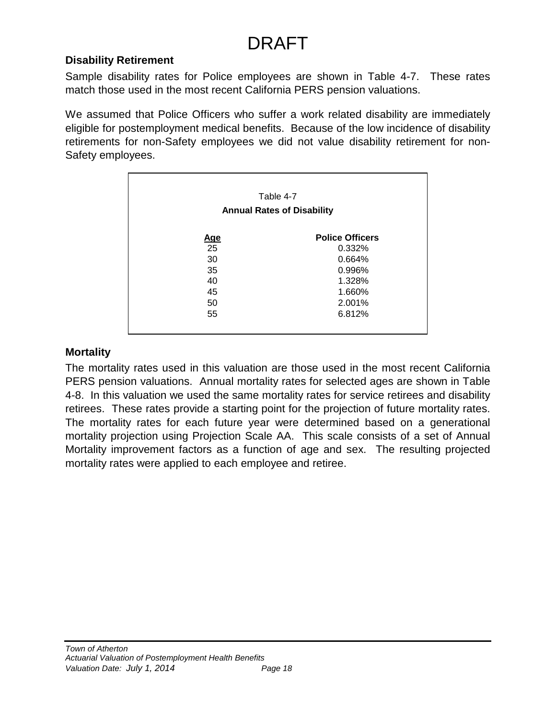### **Disability Retirement**

Sample disability rates for Police employees are shown in Table 4-7. These rates match those used in the most recent California PERS pension valuations.

We assumed that Police Officers who suffer a work related disability are immediately eligible for postemployment medical benefits. Because of the low incidence of disability retirements for non-Safety employees we did not value disability retirement for non-Safety employees.

|            | Table 4-7                         |
|------------|-----------------------------------|
|            | <b>Annual Rates of Disability</b> |
| <u>Age</u> | <b>Police Officers</b>            |
| 25         | 0.332%                            |
| 30         | 0.664%                            |
| 35         | 0.996%                            |
| 40         | 1.328%                            |
| 45         | 1.660%                            |
| 50         | 2.001%                            |
| 55         | 6.812%                            |

### **Mortality**

The mortality rates used in this valuation are those used in the most recent California PERS pension valuations. Annual mortality rates for selected ages are shown in Table 4-8. In this valuation we used the same mortality rates for service retirees and disability retirees. These rates provide a starting point for the projection of future mortality rates. The mortality rates for each future year were determined based on a generational mortality projection using Projection Scale AA. This scale consists of a set of Annual Mortality improvement factors as a function of age and sex. The resulting projected mortality rates were applied to each employee and retiree.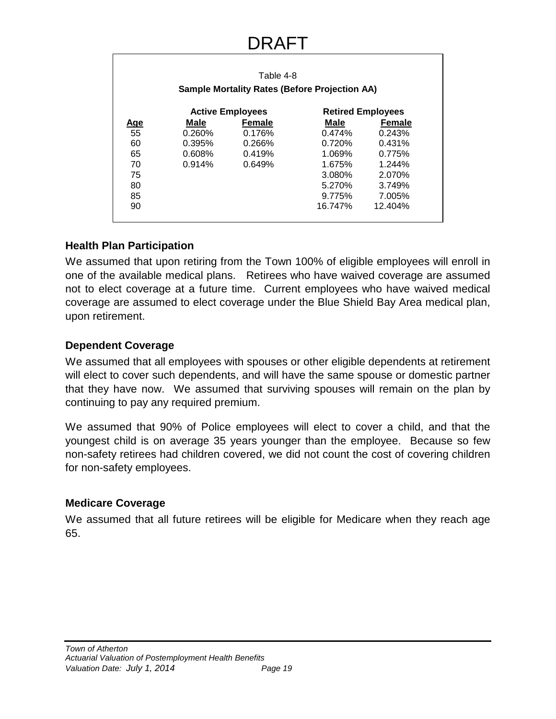|            |        | Table 4-8<br><b>Sample Mortality Rates (Before Projection AA)</b> |         |                          |
|------------|--------|-------------------------------------------------------------------|---------|--------------------------|
|            |        | <b>Active Employees</b>                                           |         | <b>Retired Employees</b> |
| <u>Age</u> | Male   | <b>Female</b>                                                     | Male    | Female                   |
| 55         | 0.260% | 0.176%                                                            | 0.474%  | 0.243%                   |
| 60         | 0.395% | 0.266%                                                            | 0.720%  | 0.431%                   |
| 65         | 0.608% | 0.419%                                                            | 1.069%  | 0.775%                   |
| 70         | 0.914% | 0.649%                                                            | 1.675%  | 1.244%                   |
| 75         |        |                                                                   | 3.080%  | 2.070%                   |
| 80         |        |                                                                   | 5.270%  | 3.749%                   |
| 85         |        |                                                                   | 9.775%  | 7.005%                   |
| 90         |        |                                                                   | 16.747% | 12.404%                  |

### **Health Plan Participation**

We assumed that upon retiring from the Town 100% of eligible employees will enroll in one of the available medical plans. Retirees who have waived coverage are assumed not to elect coverage at a future time. Current employees who have waived medical coverage are assumed to elect coverage under the Blue Shield Bay Area medical plan, upon retirement.

### **Dependent Coverage**

We assumed that all employees with spouses or other eligible dependents at retirement will elect to cover such dependents, and will have the same spouse or domestic partner that they have now. We assumed that surviving spouses will remain on the plan by continuing to pay any required premium.

We assumed that 90% of Police employees will elect to cover a child, and that the youngest child is on average 35 years younger than the employee. Because so few non-safety retirees had children covered, we did not count the cost of covering children for non-safety employees.

### **Medicare Coverage**

We assumed that all future retirees will be eligible for Medicare when they reach age 65.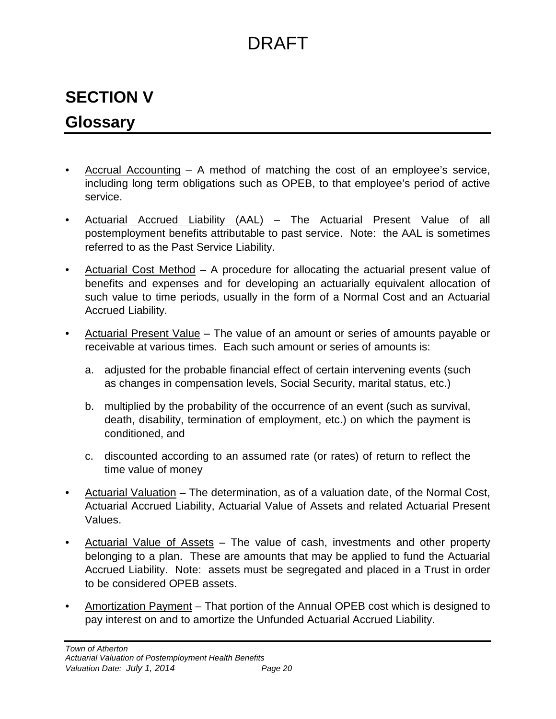## **SECTION V**

## **Glossary**

- Accrual Accounting A method of matching the cost of an employee's service, including long term obligations such as OPEB, to that employee's period of active service.
- Actuarial Accrued Liability (AAL) The Actuarial Present Value of all postemployment benefits attributable to past service. Note: the AAL is sometimes referred to as the Past Service Liability.
- Actuarial Cost Method A procedure for allocating the actuarial present value of benefits and expenses and for developing an actuarially equivalent allocation of such value to time periods, usually in the form of a Normal Cost and an Actuarial Accrued Liability.
- Actuarial Present Value The value of an amount or series of amounts payable or receivable at various times. Each such amount or series of amounts is:
	- a. adjusted for the probable financial effect of certain intervening events (such as changes in compensation levels, Social Security, marital status, etc.)
	- b. multiplied by the probability of the occurrence of an event (such as survival, death, disability, termination of employment, etc.) on which the payment is conditioned, and
	- c. discounted according to an assumed rate (or rates) of return to reflect the time value of money
- Actuarial Valuation The determination, as of a valuation date, of the Normal Cost, Actuarial Accrued Liability, Actuarial Value of Assets and related Actuarial Present Values.
- Actuarial Value of Assets The value of cash, investments and other property belonging to a plan. These are amounts that may be applied to fund the Actuarial Accrued Liability. Note: assets must be segregated and placed in a Trust in order to be considered OPEB assets.
- Amortization Payment That portion of the Annual OPEB cost which is designed to pay interest on and to amortize the Unfunded Actuarial Accrued Liability.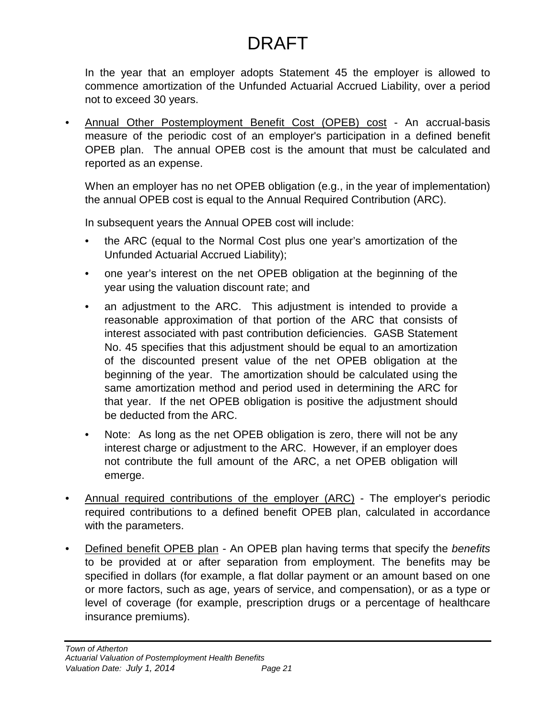In the year that an employer adopts Statement 45 the employer is allowed to commence amortization of the Unfunded Actuarial Accrued Liability, over a period not to exceed 30 years.

• Annual Other Postemployment Benefit Cost (OPEB) cost - An accrual-basis measure of the periodic cost of an employer's participation in a defined benefit OPEB plan. The annual OPEB cost is the amount that must be calculated and reported as an expense.

When an employer has no net OPEB obligation (e.g., in the year of implementation) the annual OPEB cost is equal to the Annual Required Contribution (ARC).

In subsequent years the Annual OPEB cost will include:

- the ARC (equal to the Normal Cost plus one year's amortization of the Unfunded Actuarial Accrued Liability);
- one year's interest on the net OPEB obligation at the beginning of the year using the valuation discount rate; and
- an adjustment to the ARC. This adjustment is intended to provide a reasonable approximation of that portion of the ARC that consists of interest associated with past contribution deficiencies. GASB Statement No. 45 specifies that this adjustment should be equal to an amortization of the discounted present value of the net OPEB obligation at the beginning of the year. The amortization should be calculated using the same amortization method and period used in determining the ARC for that year. If the net OPEB obligation is positive the adjustment should be deducted from the ARC.
- Note: As long as the net OPEB obligation is zero, there will not be any interest charge or adjustment to the ARC. However, if an employer does not contribute the full amount of the ARC, a net OPEB obligation will emerge.
- Annual required contributions of the employer (ARC) The employer's periodic required contributions to a defined benefit OPEB plan, calculated in accordance with the parameters.
- Defined benefit OPEB plan An OPEB plan having terms that specify the *benefits* to be provided at or after separation from employment. The benefits may be specified in dollars (for example, a flat dollar payment or an amount based on one or more factors, such as age, years of service, and compensation), or as a type or level of coverage (for example, prescription drugs or a percentage of healthcare insurance premiums).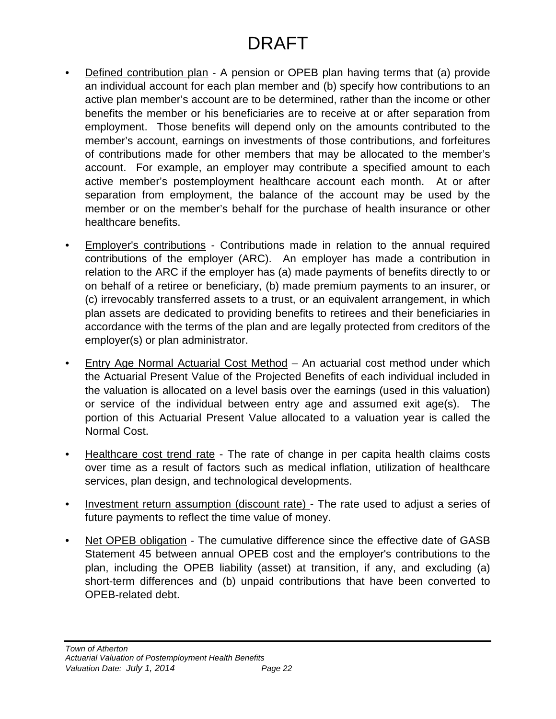- Defined contribution plan A pension or OPEB plan having terms that (a) provide an individual account for each plan member and (b) specify how contributions to an active plan member's account are to be determined, rather than the income or other benefits the member or his beneficiaries are to receive at or after separation from employment. Those benefits will depend only on the amounts contributed to the member's account, earnings on investments of those contributions, and forfeitures of contributions made for other members that may be allocated to the member's account. For example, an employer may contribute a specified amount to each active member's postemployment healthcare account each month. At or after separation from employment, the balance of the account may be used by the member or on the member's behalf for the purchase of health insurance or other healthcare benefits.
- Employer's contributions Contributions made in relation to the annual required contributions of the employer (ARC). An employer has made a contribution in relation to the ARC if the employer has (a) made payments of benefits directly to or on behalf of a retiree or beneficiary, (b) made premium payments to an insurer, or (c) irrevocably transferred assets to a trust, or an equivalent arrangement, in which plan assets are dedicated to providing benefits to retirees and their beneficiaries in accordance with the terms of the plan and are legally protected from creditors of the employer(s) or plan administrator.
- Entry Age Normal Actuarial Cost Method An actuarial cost method under which the Actuarial Present Value of the Projected Benefits of each individual included in the valuation is allocated on a level basis over the earnings (used in this valuation) or service of the individual between entry age and assumed exit age(s). The portion of this Actuarial Present Value allocated to a valuation year is called the Normal Cost.
- Healthcare cost trend rate The rate of change in per capita health claims costs over time as a result of factors such as medical inflation, utilization of healthcare services, plan design, and technological developments.
- Investment return assumption (discount rate) The rate used to adjust a series of future payments to reflect the time value of money.
- Net OPEB obligation The cumulative difference since the effective date of GASB Statement 45 between annual OPEB cost and the employer's contributions to the plan, including the OPEB liability (asset) at transition, if any, and excluding (a) short-term differences and (b) unpaid contributions that have been converted to OPEB-related debt.